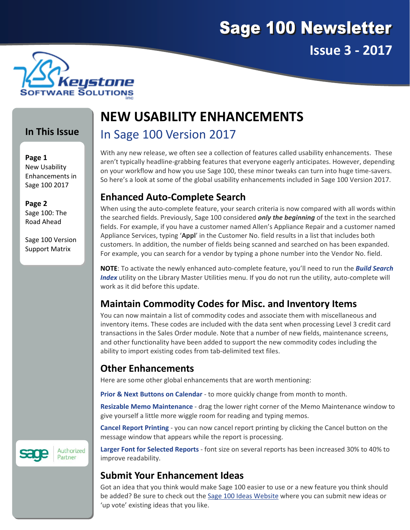



#### **In This Issue**

#### **Page 1** New Usability Enhancements in Sage 100 2017

**Page 2** Sage 100: The Road Ahead

Sage 100 Version Support Matrix

# **NEW USABILITY ENHANCEMENTS**

## In Sage 100 Version 2017

With any new release, we often see a collection of features called usability enhancements. These aren't typically headline‐grabbing features that everyone eagerly anticipates. However, depending on your workflow and how you use Sage 100, these minor tweaks can turn into huge time‐savers. So here's a look at some of the global usability enhancements included in Sage 100 Version 2017.

#### **Enhanced Auto‐Complete Search**

When using the auto-complete feature, your search criteria is now compared with all words within the searched fields. Previously, Sage 100 considered *only the beginning* of the text in the searched fields. For example, if you have a customer named Allen's Appliance Repair and a customer named Appliance Services, typing '**Appl**' in the Customer No. field results in a list that includes both customers. In addition, the number of fields being scanned and searched on has been expanded. For example, you can search for a vendor by typing a phone number into the Vendor No. field.

**NOTE**: To activate the newly enhanced auto‐complete feature, you'll need to run the *Build Search Index* utility on the Library Master Utilities menu. If you do not run the utility, auto-complete will work as it did before this update.

#### **Maintain Commodity Codes for Misc. and Inventory Items**

You can now maintain a list of commodity codes and associate them with miscellaneous and inventory items. These codes are included with the data sent when processing Level 3 credit card transactions in the Sales Order module. Note that a number of new fields, maintenance screens, and other functionality have been added to support the new commodity codes including the ability to import existing codes from tab-delimited text files.

## **Other Enhancements**

Here are some other global enhancements that are worth mentioning:

**Prior & Next Buttons on Calendar** ‐ to more quickly change from month to month.

**Resizable Memo Maintenance** ‐ drag the lower right corner of the Memo Maintenance window to give yourself a little more wiggle room for reading and typing memos.

**Cancel Report Printing** ‐ you can now cancel report printing by clicking the Cancel button on the message window that appears while the report is processing.

**Larger Font for Selected Reports** ‐ font size on several reports has been increased 30% to 40% to improve readability.

#### **Submit Your Enhancement Ideas**

Got an idea that you think would make Sage 100 easier to use or a new feature you think should be added? Be sure to check out the Sage 100 Ideas [Website](https://www5.v1ideas.com/TheSageGroupplc/Sage100ERP) where you can submit new ideas or 'up vote' existing ideas that you like.